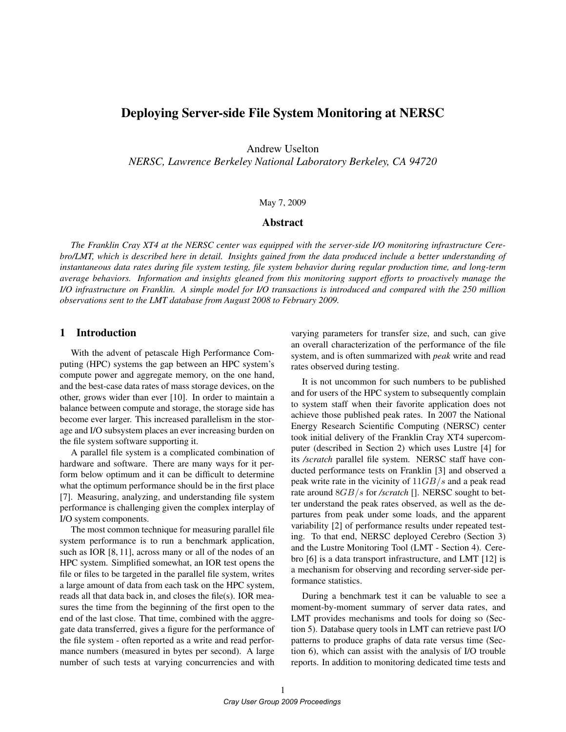# Deploying Server-side File System Monitoring at NERSC

Andrew Uselton

*NERSC, Lawrence Berkeley National Laboratory Berkeley, CA 94720*

### May 7, 2009

#### Abstract

*The Franklin Cray XT4 at the NERSC center was equipped with the server-side I/O monitoring infrastructure Cerebro/LMT, which is described here in detail. Insights gained from the data produced include a better understanding of instantaneous data rates during file system testing, file system behavior during regular production time, and long-term average behaviors. Information and insights gleaned from this monitoring support efforts to proactively manage the I/O infrastructure on Franklin. A simple model for I/O transactions is introduced and compared with the 250 million observations sent to the LMT database from August 2008 to February 2009.*

### 1 Introduction

With the advent of petascale High Performance Computing (HPC) systems the gap between an HPC system's compute power and aggregate memory, on the one hand, and the best-case data rates of mass storage devices, on the other, grows wider than ever [10]. In order to maintain a balance between compute and storage, the storage side has become ever larger. This increased parallelism in the storage and I/O subsystem places an ever increasing burden on the file system software supporting it.

A parallel file system is a complicated combination of hardware and software. There are many ways for it perform below optimum and it can be difficult to determine what the optimum performance should be in the first place [7]. Measuring, analyzing, and understanding file system performance is challenging given the complex interplay of I/O system components.

The most common technique for measuring parallel file system performance is to run a benchmark application, such as IOR [8, 11], across many or all of the nodes of an HPC system. Simplified somewhat, an IOR test opens the file or files to be targeted in the parallel file system, writes a large amount of data from each task on the HPC system, reads all that data back in, and closes the file(s). IOR measures the time from the beginning of the first open to the end of the last close. That time, combined with the aggregate data transferred, gives a figure for the performance of the file system - often reported as a write and read performance numbers (measured in bytes per second). A large number of such tests at varying concurrencies and with varying parameters for transfer size, and such, can give an overall characterization of the performance of the file system, and is often summarized with *peak* write and read rates observed during testing.

It is not uncommon for such numbers to be published and for users of the HPC system to subsequently complain to system staff when their favorite application does not achieve those published peak rates. In 2007 the National Energy Research Scientific Computing (NERSC) center took initial delivery of the Franklin Cray XT4 supercomputer (described in Section 2) which uses Lustre [4] for its */scratch* parallel file system. NERSC staff have conducted performance tests on Franklin [3] and observed a peak write rate in the vicinity of  $11GB/s$  and a peak read rate around 8GB/s for */scratch* []. NERSC sought to better understand the peak rates observed, as well as the departures from peak under some loads, and the apparent variability [2] of performance results under repeated testing. To that end, NERSC deployed Cerebro (Section 3) and the Lustre Monitoring Tool (LMT - Section 4). Cerebro [6] is a data transport infrastructure, and LMT [12] is a mechanism for observing and recording server-side performance statistics.

During a benchmark test it can be valuable to see a moment-by-moment summary of server data rates, and LMT provides mechanisms and tools for doing so (Section 5). Database query tools in LMT can retrieve past I/O patterns to produce graphs of data rate versus time (Section 6), which can assist with the analysis of I/O trouble reports. In addition to monitoring dedicated time tests and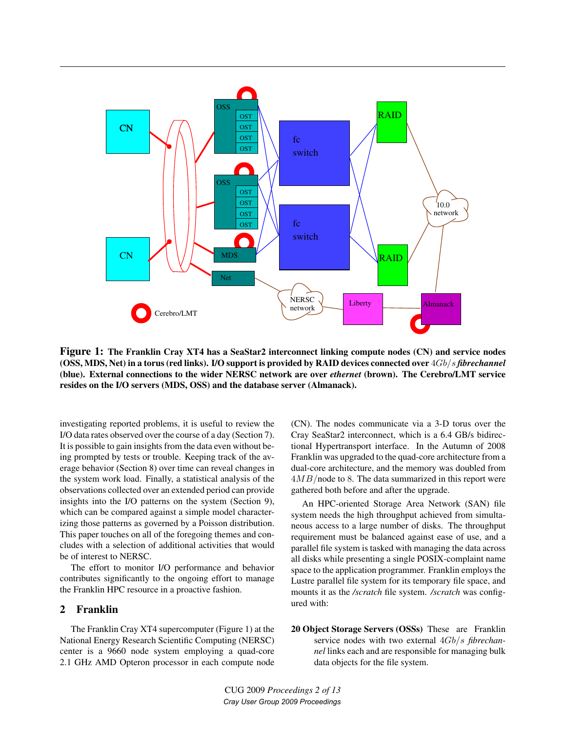

Figure 1: The Franklin Cray XT4 has a SeaStar2 interconnect linking compute nodes (CN) and service nodes (OSS, MDS, Net) in a torus (red links). I/O support is provided by RAID devices connected over 4Gb/s *fibrechannel* (blue). External connections to the wider NERSC network are over *ethernet* (brown). The Cerebro/LMT service resides on the I/O servers (MDS, OSS) and the database server (Almanack).

investigating reported problems, it is useful to review the I/O data rates observed over the course of a day (Section 7). It is possible to gain insights from the data even without being prompted by tests or trouble. Keeping track of the average behavior (Section 8) over time can reveal changes in the system work load. Finally, a statistical analysis of the observations collected over an extended period can provide insights into the I/O patterns on the system (Section 9), which can be compared against a simple model characterizing those patterns as governed by a Poisson distribution. This paper touches on all of the foregoing themes and concludes with a selection of additional activities that would be of interest to NERSC.

The effort to monitor I/O performance and behavior contributes significantly to the ongoing effort to manage the Franklin HPC resource in a proactive fashion.

# 2 Franklin

The Franklin Cray XT4 supercomputer (Figure 1) at the National Energy Research Scientific Computing (NERSC) center is a 9660 node system employing a quad-core 2.1 GHz AMD Opteron processor in each compute node (CN). The nodes communicate via a 3-D torus over the Cray SeaStar2 interconnect, which is a 6.4 GB/s bidirectional Hypertransport interface. In the Autumn of 2008 Franklin was upgraded to the quad-core architecture from a dual-core architecture, and the memory was doubled from  $4MB$ /node to 8. The data summarized in this report were gathered both before and after the upgrade.

An HPC-oriented Storage Area Network (SAN) file system needs the high throughput achieved from simultaneous access to a large number of disks. The throughput requirement must be balanced against ease of use, and a parallel file system is tasked with managing the data across all disks while presenting a single POSIX-complaint name space to the application programmer. Franklin employs the Lustre parallel file system for its temporary file space, and mounts it as the */scratch* file system. */scratch* was configured with:

20 Object Storage Servers (OSSs) These are Franklin service nodes with two external 4Gb/s *fibrechannel* links each and are responsible for managing bulk data objects for the file system.

CUG 2009 *Proceedings 2 of 13 Cray User Group 2009 Proceedings*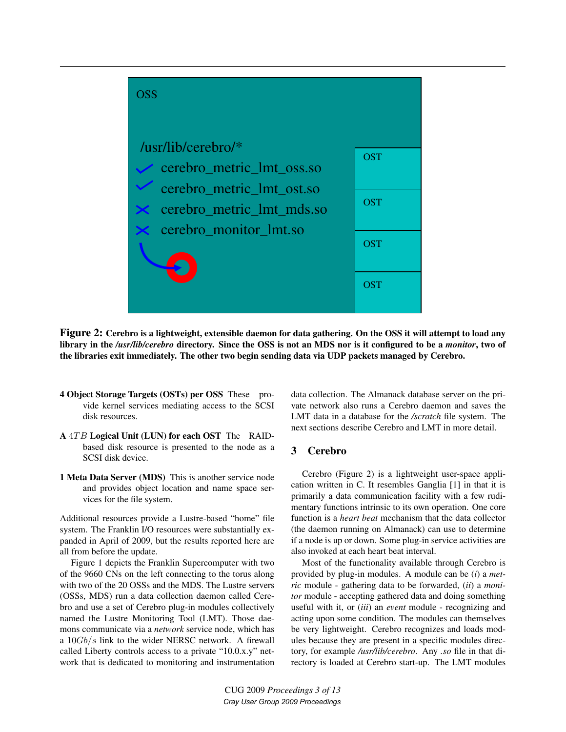

Figure 2: Cerebro is a lightweight, extensible daemon for data gathering. On the OSS it will attempt to load any library in the */usr/lib/cerebro* directory. Since the OSS is not an MDS nor is it configured to be a *monitor*, two of the libraries exit immediately. The other two begin sending data via UDP packets managed by Cerebro.

- 4 Object Storage Targets (OSTs) per OSS These provide kernel services mediating access to the SCSI disk resources.
- A 4TB Logical Unit (LUN) for each OST The RAIDbased disk resource is presented to the node as a SCSI disk device.
- 1 Meta Data Server (MDS) This is another service node and provides object location and name space services for the file system.

Additional resources provide a Lustre-based "home" file system. The Franklin I/O resources were substantially expanded in April of 2009, but the results reported here are all from before the update.

Figure 1 depicts the Franklin Supercomputer with two of the 9660 CNs on the left connecting to the torus along with two of the 20 OSSs and the MDS. The Lustre servers (OSSs, MDS) run a data collection daemon called Cerebro and use a set of Cerebro plug-in modules collectively named the Lustre Monitoring Tool (LMT). Those daemons communicate via a *network* service node, which has a  $10Gb/s$  link to the wider NERSC network. A firewall called Liberty controls access to a private "10.0.x.y" network that is dedicated to monitoring and instrumentation

data collection. The Almanack database server on the private network also runs a Cerebro daemon and saves the LMT data in a database for the */scratch* file system. The next sections describe Cerebro and LMT in more detail.

# 3 Cerebro

Cerebro (Figure 2) is a lightweight user-space application written in C. It resembles Ganglia [1] in that it is primarily a data communication facility with a few rudimentary functions intrinsic to its own operation. One core function is a *heart beat* mechanism that the data collector (the daemon running on Almanack) can use to determine if a node is up or down. Some plug-in service activities are also invoked at each heart beat interval.

Most of the functionality available through Cerebro is provided by plug-in modules. A module can be (*i*) a *metric* module - gathering data to be forwarded, (*ii*) a *monitor* module - accepting gathered data and doing something useful with it, or (*iii*) an *event* module - recognizing and acting upon some condition. The modules can themselves be very lightweight. Cerebro recognizes and loads modules because they are present in a specific modules directory, for example */usr/lib/cerebro*. Any *.so* file in that directory is loaded at Cerebro start-up. The LMT modules

CUG 2009 *Proceedings 3 of 13 Cray User Group 2009 Proceedings*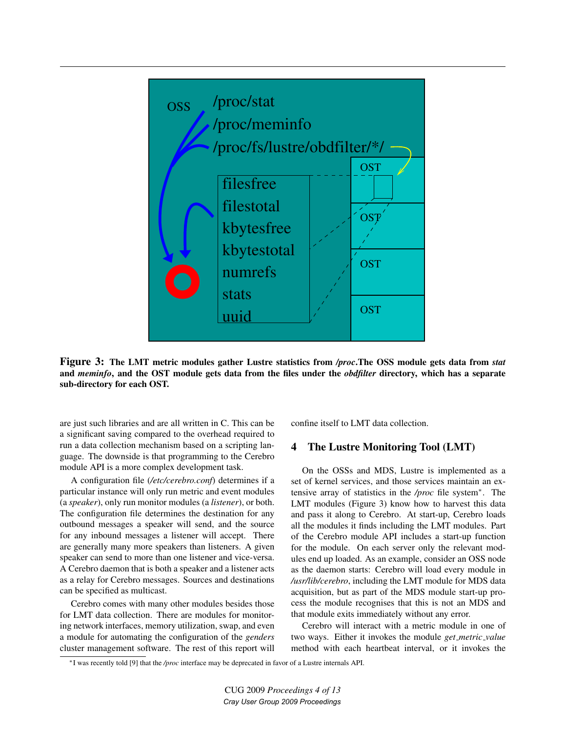

Figure 3: The LMT metric modules gather Lustre statistics from */proc*.The OSS module gets data from *stat* and *meminfo*, and the OST module gets data from the files under the *obdfilter* directory, which has a separate sub-directory for each OST.

are just such libraries and are all written in C. This can be a significant saving compared to the overhead required to run a data collection mechanism based on a scripting language. The downside is that programming to the Cerebro module API is a more complex development task.

A configuration file (*/etc/cerebro.conf*) determines if a particular instance will only run metric and event modules (a *speaker*), only run monitor modules (a *listener*), or both. The configuration file determines the destination for any outbound messages a speaker will send, and the source for any inbound messages a listener will accept. There are generally many more speakers than listeners. A given speaker can send to more than one listener and vice-versa. A Cerebro daemon that is both a speaker and a listener acts as a relay for Cerebro messages. Sources and destinations can be specified as multicast.

Cerebro comes with many other modules besides those for LMT data collection. There are modules for monitoring network interfaces, memory utilization, swap, and even a module for automating the configuration of the *genders* cluster management software. The rest of this report will

confine itself to LMT data collection.

### 4 The Lustre Monitoring Tool (LMT)

On the OSSs and MDS, Lustre is implemented as a set of kernel services, and those services maintain an extensive array of statistics in the */proc* file system<sup>∗</sup> . The LMT modules (Figure 3) know how to harvest this data and pass it along to Cerebro. At start-up, Cerebro loads all the modules it finds including the LMT modules. Part of the Cerebro module API includes a start-up function for the module. On each server only the relevant modules end up loaded. As an example, consider an OSS node as the daemon starts: Cerebro will load every module in */usr/lib/cerebro*, including the LMT module for MDS data acquisition, but as part of the MDS module start-up process the module recognises that this is not an MDS and that module exits immediately without any error.

Cerebro will interact with a metric module in one of two ways. Either it invokes the module *get metric value* method with each heartbeat interval, or it invokes the

<sup>∗</sup>I was recently told [9] that the */proc* interface may be deprecated in favor of a Lustre internals API.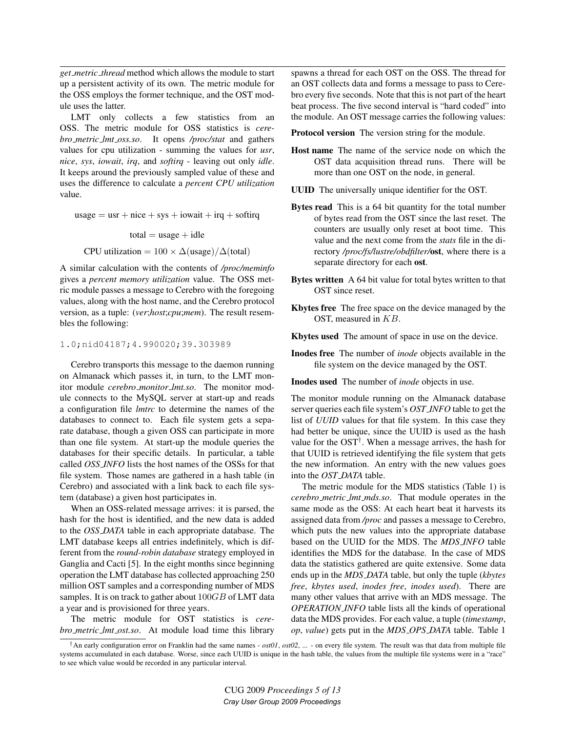*get metric thread* method which allows the module to start up a persistent activity of its own. The metric module for the OSS employs the former technique, and the OST module uses the latter.

LMT only collects a few statistics from an OSS. The metric module for OSS statistics is *cerebro metric lmt oss.so*. It opens */proc/stat* and gathers values for cpu utilization - summing the values for *usr*, *nice*, *sys*, *iowait*, *irq*, and *softirq* - leaving out only *idle*. It keeps around the previously sampled value of these and uses the difference to calculate a *percent CPU utilization* value.

usage  $=$  usr  $+$  nice  $+$  sys  $+$  iowait  $+$  irq  $+$  softing  $total = usage + idle$ 

CPU utilization =  $100 \times \Delta$ (usage)/ $\Delta$ (total)

A similar calculation with the contents of */proc/meminfo* gives a *percent memory utilization* value. The OSS metric module passes a message to Cerebro with the foregoing values, along with the host name, and the Cerebro protocol version, as a tuple: (*ver*;*host*;*cpu*;*mem*). The result resembles the following:

#### 1.0;nid04187;4.990020;39.303989

Cerebro transports this message to the daemon running on Almanack which passes it, in turn, to the LMT monitor module *cerebro monitor lmt.so*. The monitor module connects to the MySQL server at start-up and reads a configuration file *lmtrc* to determine the names of the databases to connect to. Each file system gets a separate database, though a given OSS can participate in more than one file system. At start-up the module queries the databases for their specific details. In particular, a table called *OSS INFO* lists the host names of the OSSs for that file system. Those names are gathered in a hash table (in Cerebro) and associated with a link back to each file system (database) a given host participates in.

When an OSS-related message arrives: it is parsed, the hash for the host is identified, and the new data is added to the *OSS DATA* table in each appropriate database. The LMT database keeps all entries indefinitely, which is different from the *round-robin database* strategy employed in Ganglia and Cacti [5]. In the eight months since beginning operation the LMT database has collected approaching 250 million OST samples and a corresponding number of MDS samples. It is on track to gather about  $100GB$  of LMT data a year and is provisioned for three years.

The metric module for OST statistics is *cerebro metric lmt ost.so*. At module load time this library spawns a thread for each OST on the OSS. The thread for an OST collects data and forms a message to pass to Cerebro every five seconds. Note that this is not part of the heart beat process. The five second interval is "hard coded" into the module. An OST message carries the following values:

Protocol version The version string for the module.

- Host name The name of the service node on which the OST data acquisition thread runs. There will be more than one OST on the node, in general.
- UUID The universally unique identifier for the OST.
- Bytes read This is a 64 bit quantity for the total number of bytes read from the OST since the last reset. The counters are usually only reset at boot time. This value and the next come from the *stats* file in the directory */proc/fs/lustre/obdfilter/*ost, where there is a separate directory for each ost.
- Bytes written A 64 bit value for total bytes written to that OST since reset.
- Kbytes free The free space on the device managed by the OST, measured in KB.
- Kbytes used The amount of space in use on the device.
- Inodes free The number of *inode* objects available in the file system on the device managed by the OST.

Inodes used The number of *inode* objects in use.

The monitor module running on the Almanack database server queries each file system's *OST INFO* table to get the list of *UUID* values for that file system. In this case they had better be unique, since the UUID is used as the hash value for the OST<sup>†</sup>. When a message arrives, the hash for that UUID is retrieved identifying the file system that gets the new information. An entry with the new values goes into the *OST DATA* table.

The metric module for the MDS statistics (Table 1) is *cerebro metric lmt mds.so*. That module operates in the same mode as the OSS: At each heart beat it harvests its assigned data from */proc* and passes a message to Cerebro, which puts the new values into the appropriate database based on the UUID for the MDS. The *MDS INFO* table identifies the MDS for the database. In the case of MDS data the statistics gathered are quite extensive. Some data ends up in the *MDS DATA* table, but only the tuple (*kbytes free*, *kbytes used*, *inodes free*, *inodes used*). There are many other values that arrive with an MDS message. The *OPERATION INFO* table lists all the kinds of operational data the MDS provides. For each value, a tuple (*timestamp*, *op*, *value*) gets put in the *MDS OPS DATA* table. Table 1

<sup>†</sup>An early configuration error on Franklin had the same names - *ost01*, *ost02*, ... - on every file system. The result was that data from multiple file systems accumulated in each database. Worse, since each UUID is unique in the hash table, the values from the multiple file systems were in a "race" to see which value would be recorded in any particular interval.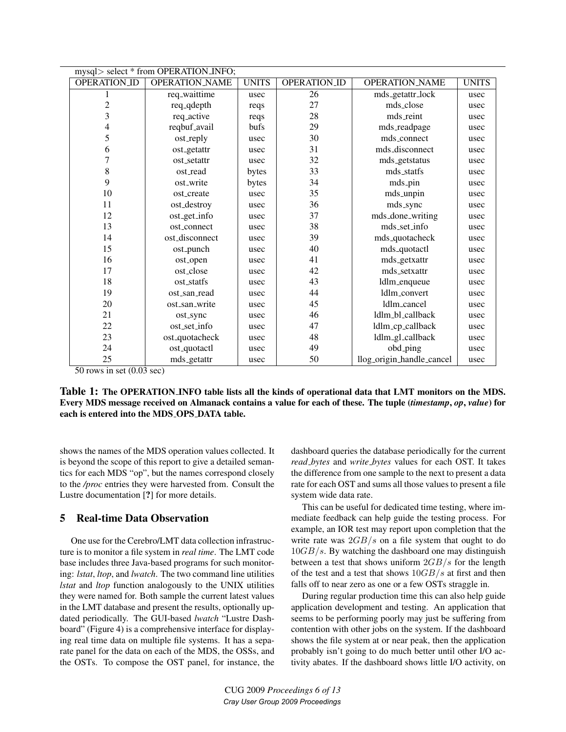|                     | mysql> select * from OPERATION_INFO; |              |              |                           |              |
|---------------------|--------------------------------------|--------------|--------------|---------------------------|--------------|
| <b>OPERATION_ID</b> | <b>OPERATION_NAME</b>                | <b>UNITS</b> | OPERATION_ID | <b>OPERATION_NAME</b>     | <b>UNITS</b> |
|                     | req_waittime                         | usec         | 26           | mds_getattr_lock          | usec         |
| 2                   | req_qdepth                           | reqs         | 27           | mds_close                 | usec         |
| 3                   | req_active                           | reqs         | 28           | mds_reint                 | usec         |
| 4                   | reqbuf_avail                         | bufs         | 29           | mds_readpage              | usec         |
| 5                   | ost_reply                            | usec         | 30           | mds_connect               | usec         |
| 6                   | ost_getattr                          | usec         | 31           | mds_disconnect            | usec         |
| 7                   | ost_setattr                          | usec         | 32           | mds_getstatus             | usec         |
| 8                   | ost_read                             | bytes        | 33           | mds_statfs                | usec         |
| 9                   | ost_write                            | bytes        | 34           | mds_pin                   | usec         |
| 10                  | ost_create                           | usec         | 35           | mds_unpin                 | usec         |
| 11                  | ost_destroy                          | usec         | 36           | mds_sync                  | usec         |
| 12                  | ost_get_info                         | usec         | 37           | mds_done_writing          | usec         |
| 13                  | ost_connect                          | usec         | 38           | mds_set_info              | usec         |
| 14                  | ost_disconnect                       | usec         | 39           | mds_quotacheck            | usec         |
| 15                  | ost_punch                            | usec         | 40           | mds_quotactl              | usec         |
| 16                  | ost_open                             | usec         | 41           | mds_getxattr              | usec         |
| 17                  | ost_close                            | usec         | 42           | mds_setxattr              | usec         |
| 18                  | ost_statfs                           | usec         | 43           | ldlm_enqueue              | usec         |
| 19                  | ost_san_read                         | usec         | 44           | ldlm_convert              | usec         |
| 20                  | ost_san_write                        | usec         | 45           | ldlm_cancel               | usec         |
| 21                  | ost_sync                             | usec         | 46           | ldlm_bl_callback          | usec         |
| 22                  | ost_set_info                         | usec         | 47           | ldlm_cp_callback          | usec         |
| 23                  | ost_quotacheck                       | usec         | 48           | ldlm_gl_callback          | usec         |
| 24                  | ost_quotactl                         | usec         | 49           | obd_ping                  | usec         |
| 25                  | mds_getattr                          | usec         | 50           | llog_origin_handle_cancel | usec         |

50 rows in set (0.03 sec)

Table 1: The OPERATION INFO table lists all the kinds of operational data that LMT monitors on the MDS. Every MDS message received on Almanack contains a value for each of these. The tuple (*timestamp*, *op*, *value*) for each is entered into the MDS OPS DATA table.

shows the names of the MDS operation values collected. It is beyond the scope of this report to give a detailed semantics for each MDS "op", but the names correspond closely to the */proc* entries they were harvested from. Consult the Lustre documentation [?] for more details.

# 5 Real-time Data Observation

One use for the Cerebro/LMT data collection infrastructure is to monitor a file system in *real time*. The LMT code base includes three Java-based programs for such monitoring: *lstat*, *ltop*, and *lwatch*. The two command line utilities *lstat* and *ltop* function analogously to the UNIX utilities they were named for. Both sample the current latest values in the LMT database and present the results, optionally updated periodically. The GUI-based *lwatch* "Lustre Dashboard" (Figure 4) is a comprehensive interface for displaying real time data on multiple file systems. It has a separate panel for the data on each of the MDS, the OSSs, and the OSTs. To compose the OST panel, for instance, the dashboard queries the database periodically for the current *read bytes* and *write bytes* values for each OST. It takes the difference from one sample to the next to present a data rate for each OST and sums all those values to present a file system wide data rate.

This can be useful for dedicated time testing, where immediate feedback can help guide the testing process. For example, an IOR test may report upon completion that the write rate was  $2GB/s$  on a file system that ought to do  $10GB/s$ . By watching the dashboard one may distinguish between a test that shows uniform  $2GB/s$  for the length of the test and a test that shows  $10GB/s$  at first and then falls off to near zero as one or a few OSTs straggle in.

During regular production time this can also help guide application development and testing. An application that seems to be performing poorly may just be suffering from contention with other jobs on the system. If the dashboard shows the file system at or near peak, then the application probably isn't going to do much better until other I/O activity abates. If the dashboard shows little I/O activity, on

CUG 2009 *Proceedings 6 of 13 Cray User Group 2009 Proceedings*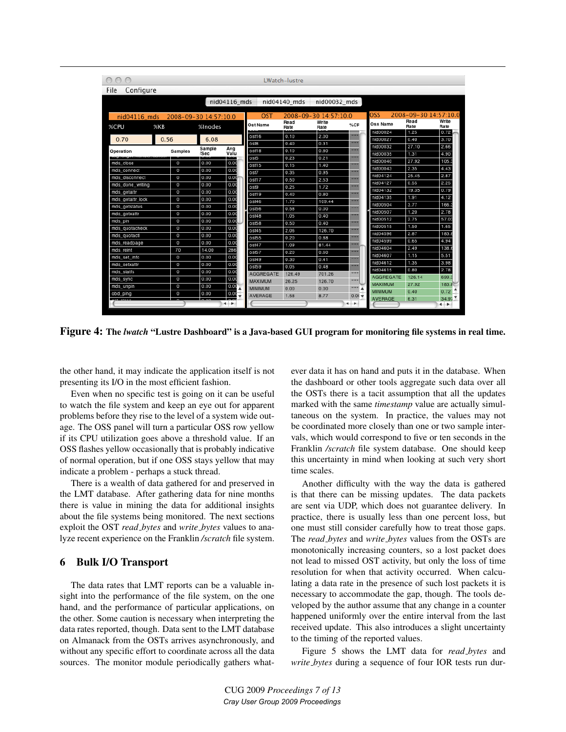| Configure<br>File |                |                       |             |                  |                       |               |          |                      |                       |               |
|-------------------|----------------|-----------------------|-------------|------------------|-----------------------|---------------|----------|----------------------|-----------------------|---------------|
|                   |                | nid04116_mds          |             |                  | nid04140 mds          | nid00032 mds  |          |                      |                       |               |
| $nid04116$ mds    |                | 2008-09-30 14:57:10.0 |             | OST              | 2008-09-30 14:57:10.0 |               |          | OSS                  | 2008-09-30 14:57:10.0 |               |
| %CPU              | %KB            | %Inodes               |             | Ost Name         | Read<br>Rate          | Write<br>Rate | %CP      | Oss Name             | Read<br>Rate          | Write<br>Rate |
| 0.70              | 0.56           | 6.08                  |             | ost16            | 0.10                  | 2.00          | ****     | nid00024<br>nid00027 | 1.25<br>0.40          | 0.72<br>3.70  |
|                   |                |                       |             | ost8             | 0.40                  | 0.31          | ----     | nid00032             | 27.10                 | 2.66          |
| Operation         | Samples        | Sample<br>/Sec        | Avg<br>Valu | ost18            | 0.10                  | 0.80          | ----     | nid00035             | 1.31                  | 4.90          |
|                   |                |                       |             | ost5             | 0.23                  | 0.21          | 1111     | nid00040             | 27.92                 | 105           |
| mds close         | $\Omega$       | 0.00                  | 0.00        | ost15            | 0.15                  | 1.40          | ----     | nid00043             | 2.35                  | 4.43          |
| mds_connect       | $\circ$        | 0.00                  | 0.00        | ost7             | 0.35                  | 0.95          | 1111     | nid04124             | 25.45                 | 2.87          |
| mds disconnect    | $\circ$        | 0.00                  | 0.00        | ost17            | 0.50                  | 2.53          | ----     | nid04127             | 0.55                  | 2.25          |
| mds_done_writing  | $\circ$        | 0.00                  | 0.00        | ost9             | 0.25                  | 1.72          | ----     |                      | 19.35                 | 0.79          |
| mds_getattr       | $\circ$        | 0.00                  | 0.00        | ost19            | 0.40                  | 0.80          | ****     | nid04132<br>nid04135 |                       |               |
| mds_getattr_lock  | $\circ$        | 0.00                  | 0.00        | ost46            | 1.70                  | 109.44        | ----     |                      | 1.91                  | 4.12          |
| mds_getstatus     | $\circ$        | 0.00                  | 0.00        | ost56            | 0.58                  | 0.00          | ----     | nid00504             | 3.77                  | 166.          |
| mds_getxattr      | $\circ$        | 0.00                  | 0.00        | ost48            | 1.05                  | 0.40          | ---      | nid00507             | 1.20                  | 2.78          |
| mds pin           | $\Omega$       | 0.00                  | 0.00        | ost58            | 0.50                  | 0.40          | ----     | nid00512             | 2.75                  | 57.0          |
| mds_quotacheck    | $\overline{0}$ | 0.00                  | 0.00        | ost45            | 2.06                  | 126.70        | ----     | nid00515             | 1.50                  | 1.65          |
| mds_quotactl      | $\overline{0}$ | 0.00                  | 0.00        | ost55            | 0.20                  | 0.88          | ----     | nid04596             | 2.87                  | 183.          |
| mds_readpage      | $\circ$        | 0.00                  | 0.00        | ost47            | 1.09                  | 81.44         | ****     | nid04599             | 0.65                  | 4.94          |
| mds reint         | 70             | 14.00                 | 286         | ost57            | 0.20                  | 0.60          |          | nid04604             | 2.49                  | 138.          |
| mds set info      | $\circ$        | 0.00                  | 0.00        | ost49            | 0.30                  | 0.41          | ----     | nid04607             | 1.15                  | 5.51          |
| mds setxattr      | $\circ$        | 0.00                  | 0.00        | ost59            | 0.05                  | 0.48          |          | nid04612             | 1.35                  | 3.98          |
| mds statfs        | $\Omega$       | 0.00                  | 0.00        | <b>AGGREGATE</b> | 126.49                | 701.26        | ****     | nid04615             | 0.80                  | 2.78          |
| mds_sync          | $\circ$        | 0.00                  | 0.00        | MAXIMUM          | 26.25                 | 126.70        | ****     | AGGREGATE            | 126.14                | 699           |
| mds_unpin         | $\overline{0}$ | 0.00                  | 0.00        | MINIMUM          | 0.00                  | 0.00          | ****     | <b>MAXIMUM</b>       | 27.92                 | 183.8         |
| obd_ping          | $\circ$        | 0.00                  | 0.00        | <b>AVERAGE</b>   | 1.58                  | 8.77          | $0.01 +$ | <b>MINIMUM</b>       | 0.40                  | 0.72          |

Figure 4: The *lwatch* "Lustre Dashboard" is a Java-based GUI program for monitoring file systems in real time.

the other hand, it may indicate the application itself is not presenting its I/O in the most efficient fashion.

Even when no specific test is going on it can be useful to watch the file system and keep an eye out for apparent problems before they rise to the level of a system wide outage. The OSS panel will turn a particular OSS row yellow if its CPU utilization goes above a threshold value. If an OSS flashes yellow occasionally that is probably indicative of normal operation, but if one OSS stays yellow that may indicate a problem - perhaps a stuck thread.

There is a wealth of data gathered for and preserved in the LMT database. After gathering data for nine months there is value in mining the data for additional insights about the file systems being monitored. The next sections exploit the OST *read bytes* and *write bytes* values to analyze recent experience on the Franklin */scratch* file system.

### 6 Bulk I/O Transport

The data rates that LMT reports can be a valuable insight into the performance of the file system, on the one hand, and the performance of particular applications, on the other. Some caution is necessary when interpreting the data rates reported, though. Data sent to the LMT database on Almanack from the OSTs arrives asynchronously, and without any specific effort to coordinate across all the data sources. The monitor module periodically gathers whatever data it has on hand and puts it in the database. When the dashboard or other tools aggregate such data over all the OSTs there is a tacit assumption that all the updates marked with the same *timestamp* value are actually simultaneous on the system. In practice, the values may not be coordinated more closely than one or two sample intervals, which would correspond to five or ten seconds in the Franklin */scratch* file system database. One should keep this uncertainty in mind when looking at such very short time scales.

Another difficulty with the way the data is gathered is that there can be missing updates. The data packets are sent via UDP, which does not guarantee delivery. In practice, there is usually less than one percent loss, but one must still consider carefully how to treat those gaps. The *read bytes* and *write bytes* values from the OSTs are monotonically increasing counters, so a lost packet does not lead to missed OST activity, but only the loss of time resolution for when that activity occurred. When calculating a data rate in the presence of such lost packets it is necessary to accommodate the gap, though. The tools developed by the author assume that any change in a counter happened uniformly over the entire interval from the last received update. This also introduces a slight uncertainty to the timing of the reported values.

Figure 5 shows the LMT data for *read bytes* and *write bytes* during a sequence of four IOR tests run dur-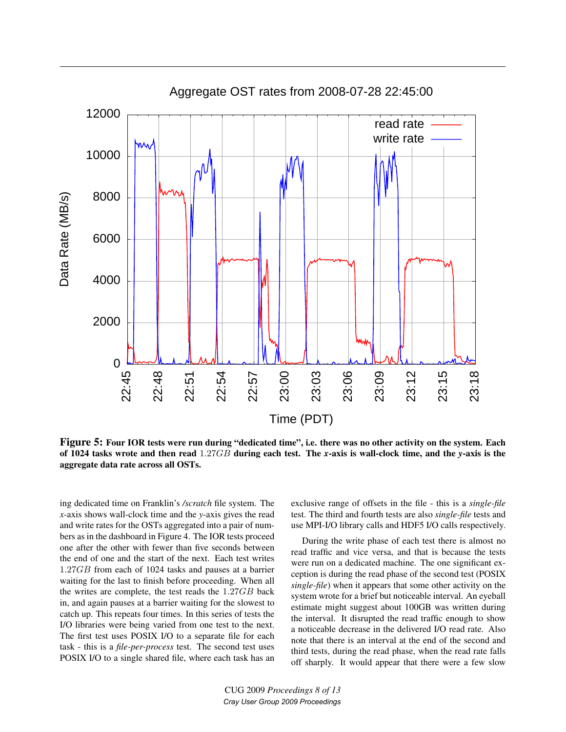

Figure 5: Four IOR tests were run during "dedicated time", i.e. there was no other activity on the system. Each of 1024 tasks wrote and then read 1.27GB during each test. The *x*-axis is wall-clock time, and the *y*-axis is the aggregate data rate across all OSTs.

ing dedicated time on Franklin's */scratch* file system. The *x*-axis shows wall-clock time and the *y*-axis gives the read and write rates for the OSTs aggregated into a pair of numbers as in the dashboard in Figure 4. The IOR tests proceed one after the other with fewer than five seconds between the end of one and the start of the next. Each test writes 1.27GB from each of 1024 tasks and pauses at a barrier waiting for the last to finish before proceeding. When all the writes are complete, the test reads the 1.27GB back in, and again pauses at a barrier waiting for the slowest to catch up. This repeats four times. In this series of tests the I/O libraries were being varied from one test to the next. The first test uses POSIX I/O to a separate file for each task - this is a *file-per-process* test. The second test uses POSIX I/O to a single shared file, where each task has an exclusive range of offsets in the file - this is a *single-file* test. The third and fourth tests are also *single-file* tests and use MPI-I/O library calls and HDF5 I/O calls respectively.

During the write phase of each test there is almost no read traffic and vice versa, and that is because the tests were run on a dedicated machine. The one significant exception is during the read phase of the second test (POSIX *single-file*) when it appears that some other activity on the system wrote for a brief but noticeable interval. An eyeball estimate might suggest about 100GB was written during the interval. It disrupted the read traffic enough to show a noticeable decrease in the delivered I/O read rate. Also note that there is an interval at the end of the second and third tests, during the read phase, when the read rate falls off sharply. It would appear that there were a few slow

CUG 2009 *Proceedings 8 of 13 Cray User Group 2009 Proceedings*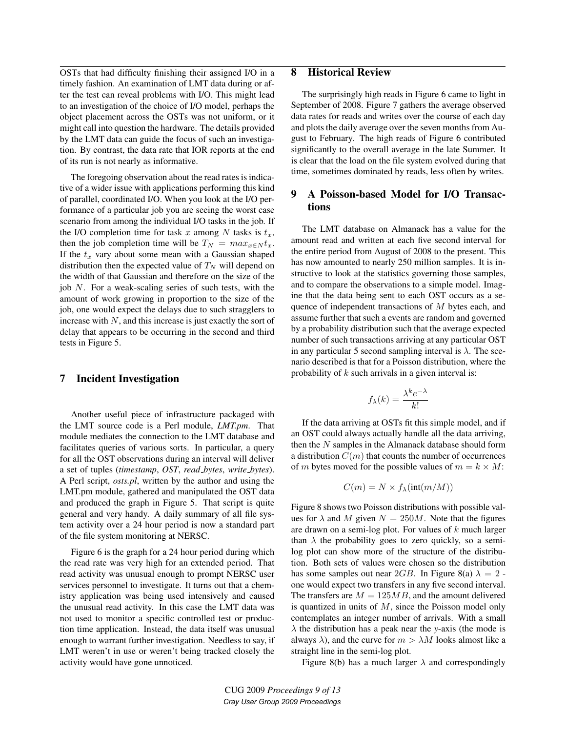OSTs that had difficulty finishing their assigned I/O in a timely fashion. An examination of LMT data during or after the test can reveal problems with I/O. This might lead to an investigation of the choice of I/O model, perhaps the object placement across the OSTs was not uniform, or it might call into question the hardware. The details provided by the LMT data can guide the focus of such an investigation. By contrast, the data rate that IOR reports at the end of its run is not nearly as informative.

The foregoing observation about the read rates is indicative of a wider issue with applications performing this kind of parallel, coordinated I/O. When you look at the I/O performance of a particular job you are seeing the worst case scenario from among the individual I/O tasks in the job. If the I/O completion time for task x among N tasks is  $t_x$ , then the job completion time will be  $T_N = max_{x \in N} t_x$ . If the  $t_x$  vary about some mean with a Gaussian shaped distribution then the expected value of  $T_N$  will depend on the width of that Gaussian and therefore on the size of the job N. For a weak-scaling series of such tests, with the amount of work growing in proportion to the size of the job, one would expect the delays due to such stragglers to increase with  $N$ , and this increase is just exactly the sort of delay that appears to be occurring in the second and third tests in Figure 5.

### 7 Incident Investigation

Another useful piece of infrastructure packaged with the LMT source code is a Perl module, *LMT.pm*. That module mediates the connection to the LMT database and facilitates queries of various sorts. In particular, a query for all the OST observations during an interval will deliver a set of tuples (*timestamp*, *OST*, *read bytes*, *write bytes*). A Perl script, *osts.pl*, written by the author and using the LMT.pm module, gathered and manipulated the OST data and produced the graph in Figure 5. That script is quite general and very handy. A daily summary of all file system activity over a 24 hour period is now a standard part of the file system monitoring at NERSC.

Figure 6 is the graph for a 24 hour period during which the read rate was very high for an extended period. That read activity was unusual enough to prompt NERSC user services personnel to investigate. It turns out that a chemistry application was being used intensively and caused the unusual read activity. In this case the LMT data was not used to monitor a specific controlled test or production time application. Instead, the data itself was unusual enough to warrant further investigation. Needless to say, if LMT weren't in use or weren't being tracked closely the activity would have gone unnoticed.

# 8 Historical Review

The surprisingly high reads in Figure 6 came to light in September of 2008. Figure 7 gathers the average observed data rates for reads and writes over the course of each day and plots the daily average over the seven months from August to February. The high reads of Figure 6 contributed significantly to the overall average in the late Summer. It is clear that the load on the file system evolved during that time, sometimes dominated by reads, less often by writes.

# 9 A Poisson-based Model for I/O Transactions

The LMT database on Almanack has a value for the amount read and written at each five second interval for the entire period from August of 2008 to the present. This has now amounted to nearly 250 million samples. It is instructive to look at the statistics governing those samples, and to compare the observations to a simple model. Imagine that the data being sent to each OST occurs as a sequence of independent transactions of M bytes each, and assume further that such a events are random and governed by a probability distribution such that the average expected number of such transactions arriving at any particular OST in any particular 5 second sampling interval is  $\lambda$ . The scenario described is that for a Poisson distribution, where the probability of  $k$  such arrivals in a given interval is:

$$
f_{\lambda}(k) = \frac{\lambda^k e^{-\lambda}}{k!}
$$

If the data arriving at OSTs fit this simple model, and if an OST could always actually handle all the data arriving, then the N samples in the Almanack database should form a distribution  $C(m)$  that counts the number of occurrences of m bytes moved for the possible values of  $m = k \times M$ :

$$
C(m) = N \times f_{\lambda}(\text{int}(m/M))
$$

Figure 8 shows two Poisson distributions with possible values for  $\lambda$  and M given  $N = 250M$ . Note that the figures are drawn on a semi-log plot. For values of  $k$  much larger than  $\lambda$  the probability goes to zero quickly, so a semilog plot can show more of the structure of the distribution. Both sets of values were chosen so the distribution has some samples out near 2GB. In Figure 8(a)  $\lambda = 2$  one would expect two transfers in any five second interval. The transfers are  $M = 125MB$ , and the amount delivered is quantized in units of  $M$ , since the Poisson model only contemplates an integer number of arrivals. With a small  $\lambda$  the distribution has a peak near the *y*-axis (the mode is always  $\lambda$ ), and the curve for  $m > \lambda M$  looks almost like a straight line in the semi-log plot.

Figure 8(b) has a much larger  $\lambda$  and correspondingly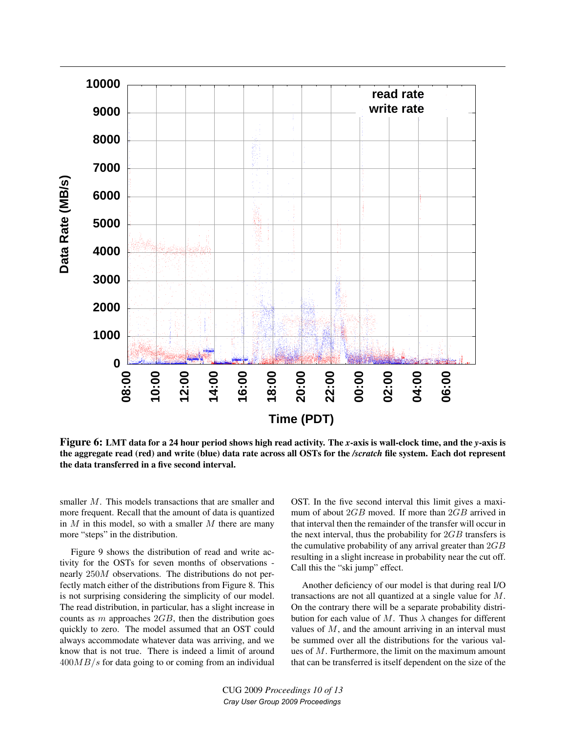

Figure 6: LMT data for a 24 hour period shows high read activity. The *x*-axis is wall-clock time, and the *y*-axis is the aggregate read (red) and write (blue) data rate across all OSTs for the */scratch* file system. Each dot represent the data transferred in a five second interval.

smaller M. This models transactions that are smaller and more frequent. Recall that the amount of data is quantized in  $M$  in this model, so with a smaller  $M$  there are many more "steps" in the distribution.

Figure 9 shows the distribution of read and write activity for the OSTs for seven months of observations nearly 250M observations. The distributions do not perfectly match either of the distributions from Figure 8. This is not surprising considering the simplicity of our model. The read distribution, in particular, has a slight increase in counts as  $m$  approaches  $2GB$ , then the distribution goes quickly to zero. The model assumed that an OST could always accommodate whatever data was arriving, and we know that is not true. There is indeed a limit of around  $400MB/s$  for data going to or coming from an individual

OST. In the five second interval this limit gives a maximum of about 2GB moved. If more than 2GB arrived in that interval then the remainder of the transfer will occur in the next interval, thus the probability for  $2GB$  transfers is the cumulative probability of any arrival greater than  $2GB$ resulting in a slight increase in probability near the cut off. Call this the "ski jump" effect.

Another deficiency of our model is that during real I/O transactions are not all quantized at a single value for M. On the contrary there will be a separate probability distribution for each value of M. Thus  $\lambda$  changes for different values of M, and the amount arriving in an interval must be summed over all the distributions for the various values of M. Furthermore, the limit on the maximum amount that can be transferred is itself dependent on the size of the

CUG 2009 *Proceedings 10 of 13 Cray User Group 2009 Proceedings*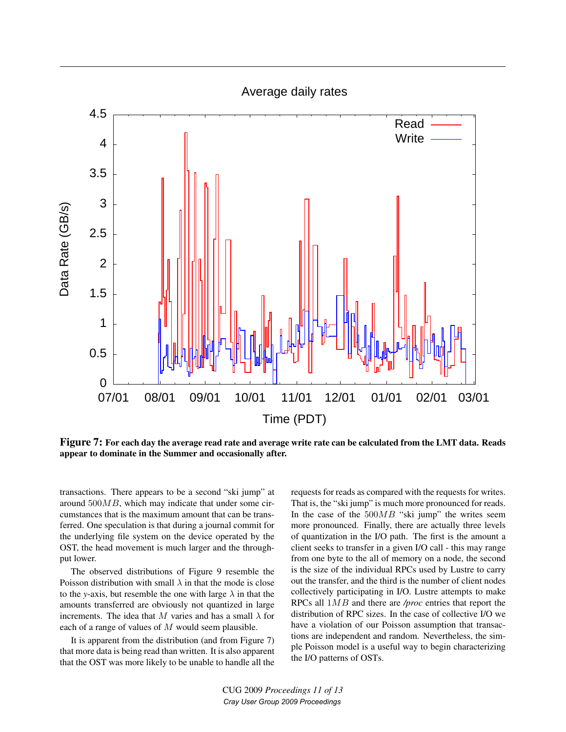Average daily rates



Figure 7: For each day the average read rate and average write rate can be calculated from the LMT data. Reads appear to dominate in the Summer and occasionally after.

transactions. There appears to be a second "ski jump" at around 500MB, which may indicate that under some circumstances that is the maximum amount that can be transferred. One speculation is that during a journal commit for the underlying file system on the device operated by the OST, the head movement is much larger and the throughput lower.

The observed distributions of Figure 9 resemble the Poisson distribution with small  $\lambda$  in that the mode is close to the *y*-axis, but resemble the one with large  $\lambda$  in that the amounts transferred are obviously not quantized in large increments. The idea that M varies and has a small  $\lambda$  for each of a range of values of  $M$  would seem plausible.

It is apparent from the distribution (and from Figure 7) that more data is being read than written. It is also apparent that the OST was more likely to be unable to handle all the requests for reads as compared with the requests for writes. That is, the "ski jump" is much more pronounced for reads. In the case of the  $500MB$  "ski jump" the writes seem more pronounced. Finally, there are actually three levels of quantization in the I/O path. The first is the amount a client seeks to transfer in a given I/O call - this may range from one byte to the all of memory on a node, the second is the size of the individual RPCs used by Lustre to carry out the transfer, and the third is the number of client nodes collectively participating in I/O. Lustre attempts to make RPCs all 1MB and there are */proc* entries that report the distribution of RPC sizes. In the case of collective I/O we have a violation of our Poisson assumption that transactions are independent and random. Nevertheless, the simple Poisson model is a useful way to begin characterizing the I/O patterns of OSTs.

CUG 2009 *Proceedings 11 of 13 Cray User Group 2009 Proceedings*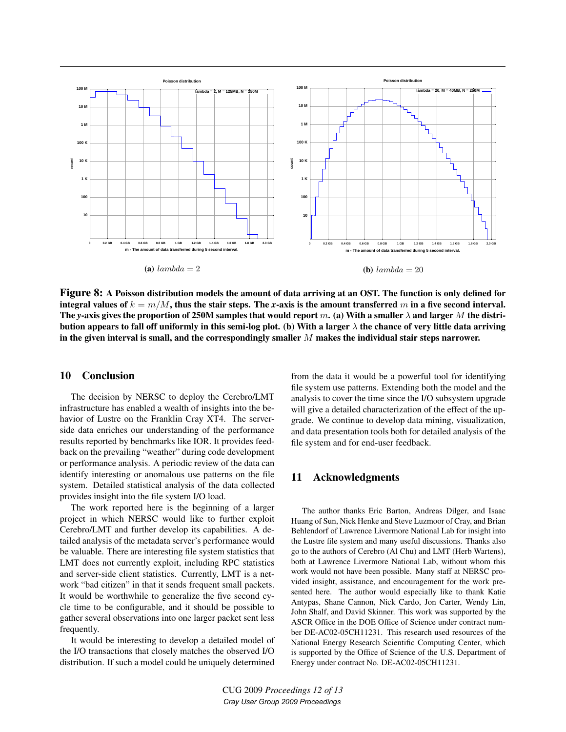

Figure 8: A Poisson distribution models the amount of data arriving at an OST. The function is only defined for integral values of  $k = m/M$ , thus the stair steps. The *x*-axis is the amount transferred m in a five second interval. The *y*-axis gives the proportion of 250M samples that would report m. (a) With a smaller  $\lambda$  and larger M the distribution appears to fall off uniformly in this semi-log plot. (b) With a larger  $\lambda$  the chance of very little data arriving in the given interval is small, and the correspondingly smaller  $M$  makes the individual stair steps narrower.

### 10 Conclusion

The decision by NERSC to deploy the Cerebro/LMT infrastructure has enabled a wealth of insights into the behavior of Lustre on the Franklin Cray XT4. The serverside data enriches our understanding of the performance results reported by benchmarks like IOR. It provides feedback on the prevailing "weather" during code development or performance analysis. A periodic review of the data can identify interesting or anomalous use patterns on the file system. Detailed statistical analysis of the data collected provides insight into the file system I/O load.

The work reported here is the beginning of a larger project in which NERSC would like to further exploit Cerebro/LMT and further develop its capabilities. A detailed analysis of the metadata server's performance would be valuable. There are interesting file system statistics that LMT does not currently exploit, including RPC statistics and server-side client statistics. Currently, LMT is a network "bad citizen" in that it sends frequent small packets. It would be worthwhile to generalize the five second cycle time to be configurable, and it should be possible to gather several observations into one larger packet sent less frequently.

It would be interesting to develop a detailed model of the I/O transactions that closely matches the observed I/O distribution. If such a model could be uniquely determined from the data it would be a powerful tool for identifying file system use patterns. Extending both the model and the analysis to cover the time since the I/O subsystem upgrade will give a detailed characterization of the effect of the upgrade. We continue to develop data mining, visualization, and data presentation tools both for detailed analysis of the file system and for end-user feedback.

### 11 Acknowledgments

The author thanks Eric Barton, Andreas Dilger, and Isaac Huang of Sun, Nick Henke and Steve Luzmoor of Cray, and Brian Behlendorf of Lawrence Livermore National Lab for insight into the Lustre file system and many useful discussions. Thanks also go to the authors of Cerebro (Al Chu) and LMT (Herb Wartens), both at Lawrence Livermore National Lab, without whom this work would not have been possible. Many staff at NERSC provided insight, assistance, and encouragement for the work presented here. The author would especially like to thank Katie Antypas, Shane Cannon, Nick Cardo, Jon Carter, Wendy Lin, John Shalf, and David Skinner. This work was supported by the ASCR Office in the DOE Office of Science under contract number DE-AC02-05CH11231. This research used resources of the National Energy Research Scientific Computing Center, which is supported by the Office of Science of the U.S. Department of Energy under contract No. DE-AC02-05CH11231.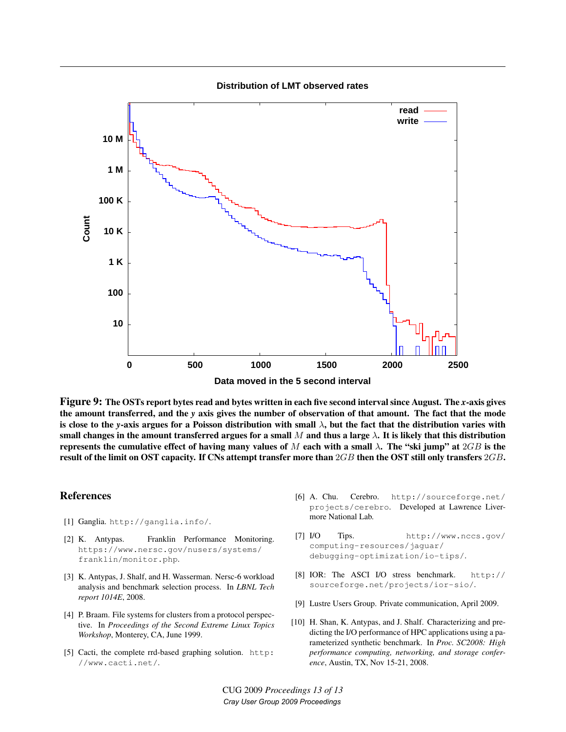**Distribution of LMT observed rates**



Figure 9: The OSTs report bytes read and bytes written in each five second interval since August. The *x*-axis gives the amount transferred, and the *y* axis gives the number of observation of that amount. The fact that the mode is close to the *y*-axis argues for a Poisson distribution with small λ, but the fact that the distribution varies with small changes in the amount transferred argues for a small M and thus a large  $\lambda$ . It is likely that this distribution represents the cumulative effect of having many values of M each with a small  $\lambda$ . The "ski jump" at  $2GB$  is the result of the limit on OST capacity. If CNs attempt transfer more than  $2GB$  then the OST still only transfers  $2GB$ .

### **References**

- [1] Ganglia. http://ganglia.info/.
- [2] K. Antypas. Franklin Performance Monitoring. https://www.nersc.gov/nusers/systems/ franklin/monitor.php.
- [3] K. Antypas, J. Shalf, and H. Wasserman. Nersc-6 workload analysis and benchmark selection process. In *LBNL Tech report 1014E*, 2008.
- [4] P. Braam. File systems for clusters from a protocol perspective. In *Proceedings of the Second Extreme Linux Topics Workshop*, Monterey, CA, June 1999.
- [5] Cacti, the complete rrd-based graphing solution. http: //www.cacti.net/.
- [6] A. Chu. Cerebro. http://sourceforge.net/ projects/cerebro. Developed at Lawrence Livermore National Lab.
- [7] I/O Tips. http://www.nccs.gov/ computing-resources/jaguar/ debugging-optimization/io-tips/.
- [8] IOR: The ASCI I/O stress benchmark. http:// sourceforge.net/projects/ior-sio/.
- [9] Lustre Users Group. Private communication, April 2009.
- [10] H. Shan, K. Antypas, and J. Shalf. Characterizing and predicting the I/O performance of HPC applications using a parameterized synthetic benchmark. In *Proc. SC2008: High performance computing, networking, and storage conference*, Austin, TX, Nov 15-21, 2008.

CUG 2009 *Proceedings 13 of 13 Cray User Group 2009 Proceedings*